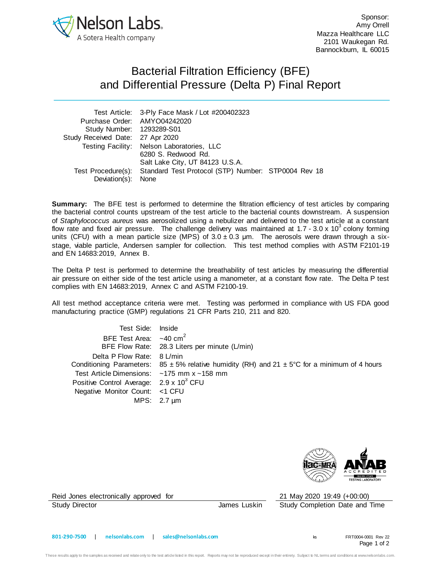

Sponsor: Amy Orrell Mazza Healthcare LLC 2101 Waukegan Rd. Bannockburn, IL 60015

## Bacterial Filtration Efficiency (BFE) and Differential Pressure (Delta P) Final Report

|                                  | Test Article: 3-Ply Face Mask / Lot #200402323                         |  |  |
|----------------------------------|------------------------------------------------------------------------|--|--|
| Purchase Order: AMYO04242020     |                                                                        |  |  |
| Study Number: 1293289-S01        |                                                                        |  |  |
| Study Received Date: 27 Apr 2020 |                                                                        |  |  |
|                                  | Testing Facility: Nelson Laboratories, LLC                             |  |  |
|                                  | 6280 S. Redwood Rd.                                                    |  |  |
|                                  | Salt Lake City, UT 84123 U.S.A.                                        |  |  |
|                                  | Test Procedure(s): Standard Test Protocol (STP) Number: STP0004 Rev 18 |  |  |
| Deviation(s): None               |                                                                        |  |  |

**Summary:** The BFE test is performed to determine the filtration efficiency of test articles by comparing the bacterial control counts upstream of the test article to the bacterial counts downstream. A suspension of *Staphylococcus aureus* was aerosolized using a nebulizer and delivered to the test article at a constant flow rate and fixed air pressure. The challenge delivery was maintained at 1.7 - 3.0 x 10<sup>3</sup> colony forming units (CFU) with a mean particle size (MPS) of  $3.0 \pm 0.3$  µm. The aerosols were drawn through a sixstage, viable particle, Andersen sampler for collection. This test method complies with ASTM F2101-19 and EN 14683:2019, Annex B.

The Delta P test is performed to determine the breathability of test articles by measuring the differential air pressure on either side of the test article using a manometer, at a constant flow rate. The Delta P test complies with EN 14683:2019, Annex C and ASTM F2100-19.

All test method acceptance criteria were met. Testing was performed in compliance with US FDA good manufacturing practice (GMP) regulations 21 CFR Parts 210, 211 and 820.

| Test Side: Inside                                      |                                                                                                       |
|--------------------------------------------------------|-------------------------------------------------------------------------------------------------------|
| BFE Test Area: $\sim$ 40 cm <sup>2</sup>               |                                                                                                       |
|                                                        | BFE Flow Rate: 28.3 Liters per minute (L/min)                                                         |
| Delta P Flow Rate: 8 L/min                             |                                                                                                       |
|                                                        | Conditioning Parameters: 85 $\pm$ 5% relative humidity (RH) and 21 $\pm$ 5°C for a minimum of 4 hours |
| Test Article Dimensions: $\sim$ 175 mm x $\sim$ 158 mm |                                                                                                       |
| Positive Control Average: 2.9 x 10 <sup>3</sup> CFU    |                                                                                                       |
| Negative Monitor Count: <1 CFU                         |                                                                                                       |
|                                                        | MPS: $2.7 \mu m$                                                                                      |



Reid Jones electronically approved for 21 May 2020 19:49 (+00:00)

Study Director **James Luskin** Study Completion Date and Time

Page 1 of 2